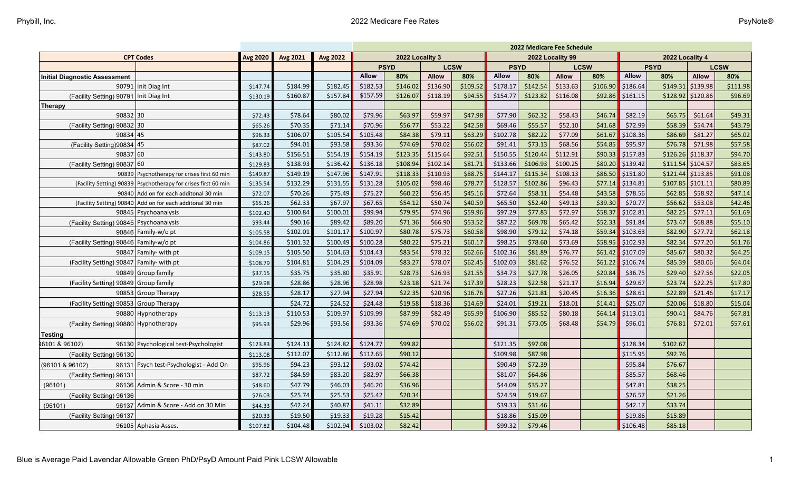| <b>CPT Codes</b><br><b>Avg 2020</b><br><b>Avg 2021</b><br><b>Avg 2022</b><br>2022 Locality 3<br>2022 Locality 99<br>2022 Locality 4<br><b>PSYD</b><br><b>LCSW</b><br><b>PSYD</b><br><b>LCSW</b><br><b>PSYD</b><br><b>LCSW</b><br><b>Allow</b><br><b>Allow</b><br><b>Allow</b><br><b>Allow</b><br>80%<br>Allow<br>80%<br>Allow<br>80%<br>80%<br>80%<br>80%<br>\$136.90<br>\$142.54<br>\$133.63<br>\$149.31<br>\$139.98<br>90791 Init Diag Int<br>\$184.99<br>\$182.45<br>\$182.53<br>\$146.02<br>\$109.52<br>\$178.17<br>\$106.90<br>\$186.64<br>\$111.98<br>\$147.74<br>\$157.59<br>\$157.84<br>\$126.07<br>\$118.19<br>\$154.77<br>\$123.82<br>\$116.08<br>5120.86<br>\$96.69<br>(Facility Setting) 90791   Init Diag Int<br>\$160.87<br>\$94.55<br>\$92.86<br>\$161.15<br>\$128.92<br>\$130.19<br>90832 30<br>\$59.97<br>\$47.98<br>\$62.32<br>\$46.74<br>\$65.75<br>\$49.31<br>\$78.64<br>\$80.02<br>\$79.96<br>\$63.97<br>\$77.90<br>\$58.43<br>\$82.19<br>\$61.64<br>\$72.43<br>\$71.14<br>\$70.96<br>\$56.77<br>\$53.22<br>\$42.58<br>\$69.46<br>\$55.57<br>\$52.10<br>\$72.99<br>\$58.39<br>\$54.74<br>\$43.79<br>(Facility Setting) 90832 30<br>\$70.35<br>\$41.68<br>\$65.26<br>\$102.78<br>\$77.09<br>90834 45<br>\$105.48<br>\$84.38<br>\$79.11<br>\$63.29<br>\$82.22<br>\$61.67<br>\$86.69<br>\$81.27<br>\$65.02<br>\$96.33<br>\$106.07<br>\$105.54<br>\$108.36<br>\$93.58<br>\$74.69<br>\$70.02<br>\$56.02<br>\$91.41<br>\$73.13<br>\$68.56<br>\$54.85<br>\$71.98<br>\$57.58<br>(Facility Setting) 90834 45<br>\$94.01<br>\$93.36<br>\$95.97<br>\$76.78<br>\$87.02<br>\$156.51<br>\$154.19<br>\$123.35<br>\$115.64<br>\$92.51<br>\$150.55<br>\$120.44<br>\$112.91<br>\$90.33<br>$$126.26$ $$118.37$<br>\$94.70<br>90837 60<br>\$154.19<br> \$157.83<br>\$143.80<br>\$136.42<br>\$108.94<br>\$102.14<br>\$81.71<br>\$133.66<br>\$106.93<br>\$100.25<br>\$80.20<br> \$139.42<br>$$111.54$ $$104.57$<br>\$83.65<br>(Facility Setting) 90837 60<br>\$138.93<br>\$136.18<br>\$129.83<br>\$147.96<br>\$147.91<br>\$118.33<br>\$110.93<br>\$88.75<br>\$144.17<br>\$115.34<br>\$108.13<br>\$86.50<br>\$151.80<br>\$121.44<br>5113.85<br>\$91.08<br>90839 Psychotherapy for crises first 60 min<br>\$149.87<br>\$149.19<br>\$132.29<br>\$98.46<br>\$78.77<br>\$128.57<br>\$102.86<br>\$96.43<br>\$77.14<br> \$134.81<br>\$107.85<br>\$101.11<br>\$80.89<br>\$131.55<br>\$131.28<br>\$105.02<br>(Facility Setting) 90839   Psychotherapy for crises first 60 min<br>\$135.54<br>\$56.45<br>\$47.14<br>\$75.49<br>\$75.27<br>\$60.22<br>\$45.16<br>\$72.64<br>\$58.11<br>\$54.48<br>\$43.58<br>\$78.56<br>\$62.85<br>\$58.92<br>90840 Add on for each additonal 30 min<br>\$70.26<br>\$72.07<br>\$50.74<br>\$65.50<br>\$52.40<br>\$53.08<br>\$62.33<br>\$67.97<br>\$67.65<br>\$54.12<br>\$40.59<br>\$49.13<br>\$39.30<br>\$70.77<br>\$56.62<br>\$42.46<br>\$65.26<br>(Facility Setting) 90840 Add on for each additonal 30 min<br>\$79.95<br>\$74.96<br>\$97.29<br>\$77.83<br>\$72.97<br>\$77.11<br>\$61.69<br>\$100.84<br>\$100.01<br>\$99.94<br>\$59.96<br>\$58.37<br>\$102.81<br>\$82.25<br>90845   Psychoanalysis<br>\$102.40<br>\$68.88<br>\$90.16<br>\$89.42<br>\$71.36<br>\$66.90<br>\$53.52<br>\$87.22<br>\$69.78<br>\$65.42<br>\$52.33<br>\$91.84<br>\$73.47<br>\$55.10<br>(Facility Setting) 90845 Psychoanalysis<br>\$93.44<br>\$89.20<br>\$77.72<br>\$102.01<br>\$101.17<br>\$100.97<br>\$80.78<br>\$75.73<br>\$60.58<br>\$98.90<br>\$79.12<br>\$74.18<br>\$59.34<br>\$103.63<br>\$82.90<br>\$62.18<br>90846 Family-w/o pt<br>\$105.58<br>\$80.22<br>\$75.21<br>\$98.25<br>\$78.60<br>\$73.69<br>\$77.20<br>\$61.76<br>(Facility Setting) 90846 Family-w/o pt<br>\$101.32<br>\$100.49<br>\$100.28<br>\$60.17<br>\$58.95<br> \$102.93<br>\$82.34<br>\$104.86<br>\$78.32<br>\$80.32<br>90847 Family- with pt<br>\$105.50<br>\$104.63<br>\$104.43<br>\$83.54<br>\$62.66<br>\$102.36<br>\$81.89<br>\$76.77<br>\$61.42<br> \$107.09<br>\$85.67<br>\$64.25<br>\$109.15<br>\$78.07<br>\$102.03<br>\$81.62<br>\$76.52<br>\$80.06<br>(Facility Setting) 90847 Family- with pt<br>\$104.81<br>\$104.29<br>\$104.09<br>\$83.27<br>\$62.45<br>\$61.22<br>\$106.74<br>\$85.39<br>\$64.04<br>\$108.79<br>\$28.73<br>\$26.93<br>\$34.73<br>\$27.78<br>\$26.05<br>\$27.56<br>\$22.05<br>90849 Group family<br>\$35.75<br>\$35.80<br>\$35.91<br>\$21.55<br>\$20.84<br>\$36.75<br>\$29.40<br>\$37.15<br>\$21.74<br>\$28.23<br>\$22.58<br>\$22.25<br>(Facility Setting) 90849 Group family<br>\$28.86<br>\$28.96<br>\$28.98<br>\$23.18<br>\$17.39<br>\$21.17<br>\$16.94<br>\$29.67<br>\$23.74<br>\$17.80<br>\$29.98<br>\$27.94<br>\$22.35<br>\$20.96<br>\$16.76<br>\$27.26<br>\$21.81<br>\$20.45<br>\$21.46<br>\$17.17<br>90853 Group Therapy<br>\$28.17<br>\$27.94<br>\$16.36<br>\$28.61<br>\$22.89<br>\$28.55<br>\$24.52<br>\$19.58<br>\$18.36<br>\$14.69<br>\$24.01<br>\$19.21<br>\$18.01<br>\$14.41<br>\$25.07<br>\$20.06<br>\$18.80<br>\$15.04<br>(Facility Setting) 90853 Group Therapy<br>\$24.72<br>\$24.48<br>\$87.99<br>\$82.49<br>\$85.52<br>\$84.76<br>\$65.99<br>\$106.90<br>\$80.18<br>\$90.41<br>\$67.81<br>90880 Hypnotherapy<br>\$110.53<br>\$109.97<br>\$109.99<br>\$64.14<br>\$113.01<br>\$113.13<br>\$74.69<br>\$70.02<br>\$72.01<br>\$29.96<br>\$93.56<br>\$93.36<br>\$56.02<br>\$91.31<br>\$73.05<br>\$68.48<br>\$96.01<br>\$76.81<br>\$57.61<br>(Facility Setting) 90880 Hypnotherapy<br>\$54.79<br>\$95.93<br><b>Testing</b><br>\$99.82<br>96130 Psychological test-Psychologist<br>\$124.13<br>\$124.82<br>\$124.77<br>\$121.35<br>\$97.08<br>\$128.34<br>\$102.67<br>\$123.83<br>\$112.65<br>\$90.12<br>\$109.98<br>\$87.98<br>\$92.76<br>\$112.07<br>\$112.86<br>\$115.95<br>(Facility Setting) 96130<br>\$113.08<br>\$74.42<br>\$94.23<br>\$93.12<br>\$93.02<br>\$90.49<br>\$72.39<br>\$76.67<br>(96101 & 96102)<br>96131 Psych test-Psychologist - Add On<br>\$95.96<br>\$95.84<br>\$82.97<br>\$66.38<br>\$84.59<br>\$83.20<br>\$81.07<br>\$64.86<br>\$68.46<br>\$85.57<br>(Facility Setting) 96131<br>\$87.72<br>96136 Admin & Score - 30 min<br>\$47.79<br>\$46.03<br>\$46.20<br>\$36.96<br>\$44.09<br>\$35.27<br>\$47.81<br>\$38.25<br>(96101)<br>\$48.60 |                                      |  |         |         |         | 2022 Medicare Fee Schedule |         |  |  |         |         |  |  |         |         |  |  |
|--------------------------------------------------------------------------------------------------------------------------------------------------------------------------------------------------------------------------------------------------------------------------------------------------------------------------------------------------------------------------------------------------------------------------------------------------------------------------------------------------------------------------------------------------------------------------------------------------------------------------------------------------------------------------------------------------------------------------------------------------------------------------------------------------------------------------------------------------------------------------------------------------------------------------------------------------------------------------------------------------------------------------------------------------------------------------------------------------------------------------------------------------------------------------------------------------------------------------------------------------------------------------------------------------------------------------------------------------------------------------------------------------------------------------------------------------------------------------------------------------------------------------------------------------------------------------------------------------------------------------------------------------------------------------------------------------------------------------------------------------------------------------------------------------------------------------------------------------------------------------------------------------------------------------------------------------------------------------------------------------------------------------------------------------------------------------------------------------------------------------------------------------------------------------------------------------------------------------------------------------------------------------------------------------------------------------------------------------------------------------------------------------------------------------------------------------------------------------------------------------------------------------------------------------------------------------------------------------------------------------------------------------------------------------------------------------------------------------------------------------------------------------------------------------------------------------------------------------------------------------------------------------------------------------------------------------------------------------------------------------------------------------------------------------------------------------------------------------------------------------------------------------------------------------------------------------------------------------------------------------------------------------------------------------------------------------------------------------------------------------------------------------------------------------------------------------------------------------------------------------------------------------------------------------------------------------------------------------------------------------------------------------------------------------------------------------------------------------------------------------------------------------------------------------------------------------------------------------------------------------------------------------------------------------------------------------------------------------------------------------------------------------------------------------------------------------------------------------------------------------------------------------------------------------------------------------------------------------------------------------------------------------------------------------------------------------------------------------------------------------------------------------------------------------------------------------------------------------------------------------------------------------------------------------------------------------------------------------------------------------------------------------------------------------------------------------------------------------------------------------------------------------------------------------------------------------------------------------------------------------------------------------------------------------------------------------------------------------------------------------------------------------------------------------------------------------------------------------------------------------------------------------------------------------------------------------------------------------------------------------------------------------------------------------------------------------------------------------------------------------------------------------------------------------------------------------------------------------------------------------------------------------------------------------------------------------------------------------------------------------------------------------------------------------------------------------------------------------------------------------------------------------------------------------------------------------------------------------------------------------------------------------------------------------------------------------------------------------------------------------------------------------------------------------------------------------------------------------------------------------------------------------------------------------------------|--------------------------------------|--|---------|---------|---------|----------------------------|---------|--|--|---------|---------|--|--|---------|---------|--|--|
|                                                                                                                                                                                                                                                                                                                                                                                                                                                                                                                                                                                                                                                                                                                                                                                                                                                                                                                                                                                                                                                                                                                                                                                                                                                                                                                                                                                                                                                                                                                                                                                                                                                                                                                                                                                                                                                                                                                                                                                                                                                                                                                                                                                                                                                                                                                                                                                                                                                                                                                                                                                                                                                                                                                                                                                                                                                                                                                                                                                                                                                                                                                                                                                                                                                                                                                                                                                                                                                                                                                                                                                                                                                                                                                                                                                                                                                                                                                                                                                                                                                                                                                                                                                                                                                                                                                                                                                                                                                                                                                                                                                                                                                                                                                                                                                                                                                                                                                                                                                                                                                                                                                                                                                                                                                                                                                                                                                                                                                                                                                                                                                                                                                                                                                                                                                                                                                                                                                                                                                                                                                                                                                                                                                      |                                      |  |         |         |         |                            |         |  |  |         |         |  |  |         |         |  |  |
|                                                                                                                                                                                                                                                                                                                                                                                                                                                                                                                                                                                                                                                                                                                                                                                                                                                                                                                                                                                                                                                                                                                                                                                                                                                                                                                                                                                                                                                                                                                                                                                                                                                                                                                                                                                                                                                                                                                                                                                                                                                                                                                                                                                                                                                                                                                                                                                                                                                                                                                                                                                                                                                                                                                                                                                                                                                                                                                                                                                                                                                                                                                                                                                                                                                                                                                                                                                                                                                                                                                                                                                                                                                                                                                                                                                                                                                                                                                                                                                                                                                                                                                                                                                                                                                                                                                                                                                                                                                                                                                                                                                                                                                                                                                                                                                                                                                                                                                                                                                                                                                                                                                                                                                                                                                                                                                                                                                                                                                                                                                                                                                                                                                                                                                                                                                                                                                                                                                                                                                                                                                                                                                                                                                      |                                      |  |         |         |         |                            |         |  |  |         |         |  |  |         |         |  |  |
|                                                                                                                                                                                                                                                                                                                                                                                                                                                                                                                                                                                                                                                                                                                                                                                                                                                                                                                                                                                                                                                                                                                                                                                                                                                                                                                                                                                                                                                                                                                                                                                                                                                                                                                                                                                                                                                                                                                                                                                                                                                                                                                                                                                                                                                                                                                                                                                                                                                                                                                                                                                                                                                                                                                                                                                                                                                                                                                                                                                                                                                                                                                                                                                                                                                                                                                                                                                                                                                                                                                                                                                                                                                                                                                                                                                                                                                                                                                                                                                                                                                                                                                                                                                                                                                                                                                                                                                                                                                                                                                                                                                                                                                                                                                                                                                                                                                                                                                                                                                                                                                                                                                                                                                                                                                                                                                                                                                                                                                                                                                                                                                                                                                                                                                                                                                                                                                                                                                                                                                                                                                                                                                                                                                      | <b>Initial Diagnostic Assessment</b> |  |         |         |         |                            |         |  |  |         |         |  |  |         |         |  |  |
|                                                                                                                                                                                                                                                                                                                                                                                                                                                                                                                                                                                                                                                                                                                                                                                                                                                                                                                                                                                                                                                                                                                                                                                                                                                                                                                                                                                                                                                                                                                                                                                                                                                                                                                                                                                                                                                                                                                                                                                                                                                                                                                                                                                                                                                                                                                                                                                                                                                                                                                                                                                                                                                                                                                                                                                                                                                                                                                                                                                                                                                                                                                                                                                                                                                                                                                                                                                                                                                                                                                                                                                                                                                                                                                                                                                                                                                                                                                                                                                                                                                                                                                                                                                                                                                                                                                                                                                                                                                                                                                                                                                                                                                                                                                                                                                                                                                                                                                                                                                                                                                                                                                                                                                                                                                                                                                                                                                                                                                                                                                                                                                                                                                                                                                                                                                                                                                                                                                                                                                                                                                                                                                                                                                      |                                      |  |         |         |         |                            |         |  |  |         |         |  |  |         |         |  |  |
|                                                                                                                                                                                                                                                                                                                                                                                                                                                                                                                                                                                                                                                                                                                                                                                                                                                                                                                                                                                                                                                                                                                                                                                                                                                                                                                                                                                                                                                                                                                                                                                                                                                                                                                                                                                                                                                                                                                                                                                                                                                                                                                                                                                                                                                                                                                                                                                                                                                                                                                                                                                                                                                                                                                                                                                                                                                                                                                                                                                                                                                                                                                                                                                                                                                                                                                                                                                                                                                                                                                                                                                                                                                                                                                                                                                                                                                                                                                                                                                                                                                                                                                                                                                                                                                                                                                                                                                                                                                                                                                                                                                                                                                                                                                                                                                                                                                                                                                                                                                                                                                                                                                                                                                                                                                                                                                                                                                                                                                                                                                                                                                                                                                                                                                                                                                                                                                                                                                                                                                                                                                                                                                                                                                      |                                      |  |         |         |         |                            |         |  |  |         |         |  |  |         |         |  |  |
|                                                                                                                                                                                                                                                                                                                                                                                                                                                                                                                                                                                                                                                                                                                                                                                                                                                                                                                                                                                                                                                                                                                                                                                                                                                                                                                                                                                                                                                                                                                                                                                                                                                                                                                                                                                                                                                                                                                                                                                                                                                                                                                                                                                                                                                                                                                                                                                                                                                                                                                                                                                                                                                                                                                                                                                                                                                                                                                                                                                                                                                                                                                                                                                                                                                                                                                                                                                                                                                                                                                                                                                                                                                                                                                                                                                                                                                                                                                                                                                                                                                                                                                                                                                                                                                                                                                                                                                                                                                                                                                                                                                                                                                                                                                                                                                                                                                                                                                                                                                                                                                                                                                                                                                                                                                                                                                                                                                                                                                                                                                                                                                                                                                                                                                                                                                                                                                                                                                                                                                                                                                                                                                                                                                      | <b>Therapy</b>                       |  |         |         |         |                            |         |  |  |         |         |  |  |         |         |  |  |
|                                                                                                                                                                                                                                                                                                                                                                                                                                                                                                                                                                                                                                                                                                                                                                                                                                                                                                                                                                                                                                                                                                                                                                                                                                                                                                                                                                                                                                                                                                                                                                                                                                                                                                                                                                                                                                                                                                                                                                                                                                                                                                                                                                                                                                                                                                                                                                                                                                                                                                                                                                                                                                                                                                                                                                                                                                                                                                                                                                                                                                                                                                                                                                                                                                                                                                                                                                                                                                                                                                                                                                                                                                                                                                                                                                                                                                                                                                                                                                                                                                                                                                                                                                                                                                                                                                                                                                                                                                                                                                                                                                                                                                                                                                                                                                                                                                                                                                                                                                                                                                                                                                                                                                                                                                                                                                                                                                                                                                                                                                                                                                                                                                                                                                                                                                                                                                                                                                                                                                                                                                                                                                                                                                                      |                                      |  |         |         |         |                            |         |  |  |         |         |  |  |         |         |  |  |
|                                                                                                                                                                                                                                                                                                                                                                                                                                                                                                                                                                                                                                                                                                                                                                                                                                                                                                                                                                                                                                                                                                                                                                                                                                                                                                                                                                                                                                                                                                                                                                                                                                                                                                                                                                                                                                                                                                                                                                                                                                                                                                                                                                                                                                                                                                                                                                                                                                                                                                                                                                                                                                                                                                                                                                                                                                                                                                                                                                                                                                                                                                                                                                                                                                                                                                                                                                                                                                                                                                                                                                                                                                                                                                                                                                                                                                                                                                                                                                                                                                                                                                                                                                                                                                                                                                                                                                                                                                                                                                                                                                                                                                                                                                                                                                                                                                                                                                                                                                                                                                                                                                                                                                                                                                                                                                                                                                                                                                                                                                                                                                                                                                                                                                                                                                                                                                                                                                                                                                                                                                                                                                                                                                                      |                                      |  |         |         |         |                            |         |  |  |         |         |  |  |         |         |  |  |
|                                                                                                                                                                                                                                                                                                                                                                                                                                                                                                                                                                                                                                                                                                                                                                                                                                                                                                                                                                                                                                                                                                                                                                                                                                                                                                                                                                                                                                                                                                                                                                                                                                                                                                                                                                                                                                                                                                                                                                                                                                                                                                                                                                                                                                                                                                                                                                                                                                                                                                                                                                                                                                                                                                                                                                                                                                                                                                                                                                                                                                                                                                                                                                                                                                                                                                                                                                                                                                                                                                                                                                                                                                                                                                                                                                                                                                                                                                                                                                                                                                                                                                                                                                                                                                                                                                                                                                                                                                                                                                                                                                                                                                                                                                                                                                                                                                                                                                                                                                                                                                                                                                                                                                                                                                                                                                                                                                                                                                                                                                                                                                                                                                                                                                                                                                                                                                                                                                                                                                                                                                                                                                                                                                                      |                                      |  |         |         |         |                            |         |  |  |         |         |  |  |         |         |  |  |
|                                                                                                                                                                                                                                                                                                                                                                                                                                                                                                                                                                                                                                                                                                                                                                                                                                                                                                                                                                                                                                                                                                                                                                                                                                                                                                                                                                                                                                                                                                                                                                                                                                                                                                                                                                                                                                                                                                                                                                                                                                                                                                                                                                                                                                                                                                                                                                                                                                                                                                                                                                                                                                                                                                                                                                                                                                                                                                                                                                                                                                                                                                                                                                                                                                                                                                                                                                                                                                                                                                                                                                                                                                                                                                                                                                                                                                                                                                                                                                                                                                                                                                                                                                                                                                                                                                                                                                                                                                                                                                                                                                                                                                                                                                                                                                                                                                                                                                                                                                                                                                                                                                                                                                                                                                                                                                                                                                                                                                                                                                                                                                                                                                                                                                                                                                                                                                                                                                                                                                                                                                                                                                                                                                                      |                                      |  |         |         |         |                            |         |  |  |         |         |  |  |         |         |  |  |
|                                                                                                                                                                                                                                                                                                                                                                                                                                                                                                                                                                                                                                                                                                                                                                                                                                                                                                                                                                                                                                                                                                                                                                                                                                                                                                                                                                                                                                                                                                                                                                                                                                                                                                                                                                                                                                                                                                                                                                                                                                                                                                                                                                                                                                                                                                                                                                                                                                                                                                                                                                                                                                                                                                                                                                                                                                                                                                                                                                                                                                                                                                                                                                                                                                                                                                                                                                                                                                                                                                                                                                                                                                                                                                                                                                                                                                                                                                                                                                                                                                                                                                                                                                                                                                                                                                                                                                                                                                                                                                                                                                                                                                                                                                                                                                                                                                                                                                                                                                                                                                                                                                                                                                                                                                                                                                                                                                                                                                                                                                                                                                                                                                                                                                                                                                                                                                                                                                                                                                                                                                                                                                                                                                                      |                                      |  |         |         |         |                            |         |  |  |         |         |  |  |         |         |  |  |
|                                                                                                                                                                                                                                                                                                                                                                                                                                                                                                                                                                                                                                                                                                                                                                                                                                                                                                                                                                                                                                                                                                                                                                                                                                                                                                                                                                                                                                                                                                                                                                                                                                                                                                                                                                                                                                                                                                                                                                                                                                                                                                                                                                                                                                                                                                                                                                                                                                                                                                                                                                                                                                                                                                                                                                                                                                                                                                                                                                                                                                                                                                                                                                                                                                                                                                                                                                                                                                                                                                                                                                                                                                                                                                                                                                                                                                                                                                                                                                                                                                                                                                                                                                                                                                                                                                                                                                                                                                                                                                                                                                                                                                                                                                                                                                                                                                                                                                                                                                                                                                                                                                                                                                                                                                                                                                                                                                                                                                                                                                                                                                                                                                                                                                                                                                                                                                                                                                                                                                                                                                                                                                                                                                                      |                                      |  |         |         |         |                            |         |  |  |         |         |  |  |         |         |  |  |
|                                                                                                                                                                                                                                                                                                                                                                                                                                                                                                                                                                                                                                                                                                                                                                                                                                                                                                                                                                                                                                                                                                                                                                                                                                                                                                                                                                                                                                                                                                                                                                                                                                                                                                                                                                                                                                                                                                                                                                                                                                                                                                                                                                                                                                                                                                                                                                                                                                                                                                                                                                                                                                                                                                                                                                                                                                                                                                                                                                                                                                                                                                                                                                                                                                                                                                                                                                                                                                                                                                                                                                                                                                                                                                                                                                                                                                                                                                                                                                                                                                                                                                                                                                                                                                                                                                                                                                                                                                                                                                                                                                                                                                                                                                                                                                                                                                                                                                                                                                                                                                                                                                                                                                                                                                                                                                                                                                                                                                                                                                                                                                                                                                                                                                                                                                                                                                                                                                                                                                                                                                                                                                                                                                                      |                                      |  |         |         |         |                            |         |  |  |         |         |  |  |         |         |  |  |
|                                                                                                                                                                                                                                                                                                                                                                                                                                                                                                                                                                                                                                                                                                                                                                                                                                                                                                                                                                                                                                                                                                                                                                                                                                                                                                                                                                                                                                                                                                                                                                                                                                                                                                                                                                                                                                                                                                                                                                                                                                                                                                                                                                                                                                                                                                                                                                                                                                                                                                                                                                                                                                                                                                                                                                                                                                                                                                                                                                                                                                                                                                                                                                                                                                                                                                                                                                                                                                                                                                                                                                                                                                                                                                                                                                                                                                                                                                                                                                                                                                                                                                                                                                                                                                                                                                                                                                                                                                                                                                                                                                                                                                                                                                                                                                                                                                                                                                                                                                                                                                                                                                                                                                                                                                                                                                                                                                                                                                                                                                                                                                                                                                                                                                                                                                                                                                                                                                                                                                                                                                                                                                                                                                                      |                                      |  |         |         |         |                            |         |  |  |         |         |  |  |         |         |  |  |
|                                                                                                                                                                                                                                                                                                                                                                                                                                                                                                                                                                                                                                                                                                                                                                                                                                                                                                                                                                                                                                                                                                                                                                                                                                                                                                                                                                                                                                                                                                                                                                                                                                                                                                                                                                                                                                                                                                                                                                                                                                                                                                                                                                                                                                                                                                                                                                                                                                                                                                                                                                                                                                                                                                                                                                                                                                                                                                                                                                                                                                                                                                                                                                                                                                                                                                                                                                                                                                                                                                                                                                                                                                                                                                                                                                                                                                                                                                                                                                                                                                                                                                                                                                                                                                                                                                                                                                                                                                                                                                                                                                                                                                                                                                                                                                                                                                                                                                                                                                                                                                                                                                                                                                                                                                                                                                                                                                                                                                                                                                                                                                                                                                                                                                                                                                                                                                                                                                                                                                                                                                                                                                                                                                                      |                                      |  |         |         |         |                            |         |  |  |         |         |  |  |         |         |  |  |
|                                                                                                                                                                                                                                                                                                                                                                                                                                                                                                                                                                                                                                                                                                                                                                                                                                                                                                                                                                                                                                                                                                                                                                                                                                                                                                                                                                                                                                                                                                                                                                                                                                                                                                                                                                                                                                                                                                                                                                                                                                                                                                                                                                                                                                                                                                                                                                                                                                                                                                                                                                                                                                                                                                                                                                                                                                                                                                                                                                                                                                                                                                                                                                                                                                                                                                                                                                                                                                                                                                                                                                                                                                                                                                                                                                                                                                                                                                                                                                                                                                                                                                                                                                                                                                                                                                                                                                                                                                                                                                                                                                                                                                                                                                                                                                                                                                                                                                                                                                                                                                                                                                                                                                                                                                                                                                                                                                                                                                                                                                                                                                                                                                                                                                                                                                                                                                                                                                                                                                                                                                                                                                                                                                                      |                                      |  |         |         |         |                            |         |  |  |         |         |  |  |         |         |  |  |
|                                                                                                                                                                                                                                                                                                                                                                                                                                                                                                                                                                                                                                                                                                                                                                                                                                                                                                                                                                                                                                                                                                                                                                                                                                                                                                                                                                                                                                                                                                                                                                                                                                                                                                                                                                                                                                                                                                                                                                                                                                                                                                                                                                                                                                                                                                                                                                                                                                                                                                                                                                                                                                                                                                                                                                                                                                                                                                                                                                                                                                                                                                                                                                                                                                                                                                                                                                                                                                                                                                                                                                                                                                                                                                                                                                                                                                                                                                                                                                                                                                                                                                                                                                                                                                                                                                                                                                                                                                                                                                                                                                                                                                                                                                                                                                                                                                                                                                                                                                                                                                                                                                                                                                                                                                                                                                                                                                                                                                                                                                                                                                                                                                                                                                                                                                                                                                                                                                                                                                                                                                                                                                                                                                                      |                                      |  |         |         |         |                            |         |  |  |         |         |  |  |         |         |  |  |
|                                                                                                                                                                                                                                                                                                                                                                                                                                                                                                                                                                                                                                                                                                                                                                                                                                                                                                                                                                                                                                                                                                                                                                                                                                                                                                                                                                                                                                                                                                                                                                                                                                                                                                                                                                                                                                                                                                                                                                                                                                                                                                                                                                                                                                                                                                                                                                                                                                                                                                                                                                                                                                                                                                                                                                                                                                                                                                                                                                                                                                                                                                                                                                                                                                                                                                                                                                                                                                                                                                                                                                                                                                                                                                                                                                                                                                                                                                                                                                                                                                                                                                                                                                                                                                                                                                                                                                                                                                                                                                                                                                                                                                                                                                                                                                                                                                                                                                                                                                                                                                                                                                                                                                                                                                                                                                                                                                                                                                                                                                                                                                                                                                                                                                                                                                                                                                                                                                                                                                                                                                                                                                                                                                                      |                                      |  |         |         |         |                            |         |  |  |         |         |  |  |         |         |  |  |
|                                                                                                                                                                                                                                                                                                                                                                                                                                                                                                                                                                                                                                                                                                                                                                                                                                                                                                                                                                                                                                                                                                                                                                                                                                                                                                                                                                                                                                                                                                                                                                                                                                                                                                                                                                                                                                                                                                                                                                                                                                                                                                                                                                                                                                                                                                                                                                                                                                                                                                                                                                                                                                                                                                                                                                                                                                                                                                                                                                                                                                                                                                                                                                                                                                                                                                                                                                                                                                                                                                                                                                                                                                                                                                                                                                                                                                                                                                                                                                                                                                                                                                                                                                                                                                                                                                                                                                                                                                                                                                                                                                                                                                                                                                                                                                                                                                                                                                                                                                                                                                                                                                                                                                                                                                                                                                                                                                                                                                                                                                                                                                                                                                                                                                                                                                                                                                                                                                                                                                                                                                                                                                                                                                                      |                                      |  |         |         |         |                            |         |  |  |         |         |  |  |         |         |  |  |
|                                                                                                                                                                                                                                                                                                                                                                                                                                                                                                                                                                                                                                                                                                                                                                                                                                                                                                                                                                                                                                                                                                                                                                                                                                                                                                                                                                                                                                                                                                                                                                                                                                                                                                                                                                                                                                                                                                                                                                                                                                                                                                                                                                                                                                                                                                                                                                                                                                                                                                                                                                                                                                                                                                                                                                                                                                                                                                                                                                                                                                                                                                                                                                                                                                                                                                                                                                                                                                                                                                                                                                                                                                                                                                                                                                                                                                                                                                                                                                                                                                                                                                                                                                                                                                                                                                                                                                                                                                                                                                                                                                                                                                                                                                                                                                                                                                                                                                                                                                                                                                                                                                                                                                                                                                                                                                                                                                                                                                                                                                                                                                                                                                                                                                                                                                                                                                                                                                                                                                                                                                                                                                                                                                                      |                                      |  |         |         |         |                            |         |  |  |         |         |  |  |         |         |  |  |
|                                                                                                                                                                                                                                                                                                                                                                                                                                                                                                                                                                                                                                                                                                                                                                                                                                                                                                                                                                                                                                                                                                                                                                                                                                                                                                                                                                                                                                                                                                                                                                                                                                                                                                                                                                                                                                                                                                                                                                                                                                                                                                                                                                                                                                                                                                                                                                                                                                                                                                                                                                                                                                                                                                                                                                                                                                                                                                                                                                                                                                                                                                                                                                                                                                                                                                                                                                                                                                                                                                                                                                                                                                                                                                                                                                                                                                                                                                                                                                                                                                                                                                                                                                                                                                                                                                                                                                                                                                                                                                                                                                                                                                                                                                                                                                                                                                                                                                                                                                                                                                                                                                                                                                                                                                                                                                                                                                                                                                                                                                                                                                                                                                                                                                                                                                                                                                                                                                                                                                                                                                                                                                                                                                                      |                                      |  |         |         |         |                            |         |  |  |         |         |  |  |         |         |  |  |
|                                                                                                                                                                                                                                                                                                                                                                                                                                                                                                                                                                                                                                                                                                                                                                                                                                                                                                                                                                                                                                                                                                                                                                                                                                                                                                                                                                                                                                                                                                                                                                                                                                                                                                                                                                                                                                                                                                                                                                                                                                                                                                                                                                                                                                                                                                                                                                                                                                                                                                                                                                                                                                                                                                                                                                                                                                                                                                                                                                                                                                                                                                                                                                                                                                                                                                                                                                                                                                                                                                                                                                                                                                                                                                                                                                                                                                                                                                                                                                                                                                                                                                                                                                                                                                                                                                                                                                                                                                                                                                                                                                                                                                                                                                                                                                                                                                                                                                                                                                                                                                                                                                                                                                                                                                                                                                                                                                                                                                                                                                                                                                                                                                                                                                                                                                                                                                                                                                                                                                                                                                                                                                                                                                                      |                                      |  |         |         |         |                            |         |  |  |         |         |  |  |         |         |  |  |
|                                                                                                                                                                                                                                                                                                                                                                                                                                                                                                                                                                                                                                                                                                                                                                                                                                                                                                                                                                                                                                                                                                                                                                                                                                                                                                                                                                                                                                                                                                                                                                                                                                                                                                                                                                                                                                                                                                                                                                                                                                                                                                                                                                                                                                                                                                                                                                                                                                                                                                                                                                                                                                                                                                                                                                                                                                                                                                                                                                                                                                                                                                                                                                                                                                                                                                                                                                                                                                                                                                                                                                                                                                                                                                                                                                                                                                                                                                                                                                                                                                                                                                                                                                                                                                                                                                                                                                                                                                                                                                                                                                                                                                                                                                                                                                                                                                                                                                                                                                                                                                                                                                                                                                                                                                                                                                                                                                                                                                                                                                                                                                                                                                                                                                                                                                                                                                                                                                                                                                                                                                                                                                                                                                                      |                                      |  |         |         |         |                            |         |  |  |         |         |  |  |         |         |  |  |
|                                                                                                                                                                                                                                                                                                                                                                                                                                                                                                                                                                                                                                                                                                                                                                                                                                                                                                                                                                                                                                                                                                                                                                                                                                                                                                                                                                                                                                                                                                                                                                                                                                                                                                                                                                                                                                                                                                                                                                                                                                                                                                                                                                                                                                                                                                                                                                                                                                                                                                                                                                                                                                                                                                                                                                                                                                                                                                                                                                                                                                                                                                                                                                                                                                                                                                                                                                                                                                                                                                                                                                                                                                                                                                                                                                                                                                                                                                                                                                                                                                                                                                                                                                                                                                                                                                                                                                                                                                                                                                                                                                                                                                                                                                                                                                                                                                                                                                                                                                                                                                                                                                                                                                                                                                                                                                                                                                                                                                                                                                                                                                                                                                                                                                                                                                                                                                                                                                                                                                                                                                                                                                                                                                                      |                                      |  |         |         |         |                            |         |  |  |         |         |  |  |         |         |  |  |
|                                                                                                                                                                                                                                                                                                                                                                                                                                                                                                                                                                                                                                                                                                                                                                                                                                                                                                                                                                                                                                                                                                                                                                                                                                                                                                                                                                                                                                                                                                                                                                                                                                                                                                                                                                                                                                                                                                                                                                                                                                                                                                                                                                                                                                                                                                                                                                                                                                                                                                                                                                                                                                                                                                                                                                                                                                                                                                                                                                                                                                                                                                                                                                                                                                                                                                                                                                                                                                                                                                                                                                                                                                                                                                                                                                                                                                                                                                                                                                                                                                                                                                                                                                                                                                                                                                                                                                                                                                                                                                                                                                                                                                                                                                                                                                                                                                                                                                                                                                                                                                                                                                                                                                                                                                                                                                                                                                                                                                                                                                                                                                                                                                                                                                                                                                                                                                                                                                                                                                                                                                                                                                                                                                                      |                                      |  |         |         |         |                            |         |  |  |         |         |  |  |         |         |  |  |
|                                                                                                                                                                                                                                                                                                                                                                                                                                                                                                                                                                                                                                                                                                                                                                                                                                                                                                                                                                                                                                                                                                                                                                                                                                                                                                                                                                                                                                                                                                                                                                                                                                                                                                                                                                                                                                                                                                                                                                                                                                                                                                                                                                                                                                                                                                                                                                                                                                                                                                                                                                                                                                                                                                                                                                                                                                                                                                                                                                                                                                                                                                                                                                                                                                                                                                                                                                                                                                                                                                                                                                                                                                                                                                                                                                                                                                                                                                                                                                                                                                                                                                                                                                                                                                                                                                                                                                                                                                                                                                                                                                                                                                                                                                                                                                                                                                                                                                                                                                                                                                                                                                                                                                                                                                                                                                                                                                                                                                                                                                                                                                                                                                                                                                                                                                                                                                                                                                                                                                                                                                                                                                                                                                                      |                                      |  |         |         |         |                            |         |  |  |         |         |  |  |         |         |  |  |
|                                                                                                                                                                                                                                                                                                                                                                                                                                                                                                                                                                                                                                                                                                                                                                                                                                                                                                                                                                                                                                                                                                                                                                                                                                                                                                                                                                                                                                                                                                                                                                                                                                                                                                                                                                                                                                                                                                                                                                                                                                                                                                                                                                                                                                                                                                                                                                                                                                                                                                                                                                                                                                                                                                                                                                                                                                                                                                                                                                                                                                                                                                                                                                                                                                                                                                                                                                                                                                                                                                                                                                                                                                                                                                                                                                                                                                                                                                                                                                                                                                                                                                                                                                                                                                                                                                                                                                                                                                                                                                                                                                                                                                                                                                                                                                                                                                                                                                                                                                                                                                                                                                                                                                                                                                                                                                                                                                                                                                                                                                                                                                                                                                                                                                                                                                                                                                                                                                                                                                                                                                                                                                                                                                                      |                                      |  |         |         |         |                            |         |  |  |         |         |  |  |         |         |  |  |
|                                                                                                                                                                                                                                                                                                                                                                                                                                                                                                                                                                                                                                                                                                                                                                                                                                                                                                                                                                                                                                                                                                                                                                                                                                                                                                                                                                                                                                                                                                                                                                                                                                                                                                                                                                                                                                                                                                                                                                                                                                                                                                                                                                                                                                                                                                                                                                                                                                                                                                                                                                                                                                                                                                                                                                                                                                                                                                                                                                                                                                                                                                                                                                                                                                                                                                                                                                                                                                                                                                                                                                                                                                                                                                                                                                                                                                                                                                                                                                                                                                                                                                                                                                                                                                                                                                                                                                                                                                                                                                                                                                                                                                                                                                                                                                                                                                                                                                                                                                                                                                                                                                                                                                                                                                                                                                                                                                                                                                                                                                                                                                                                                                                                                                                                                                                                                                                                                                                                                                                                                                                                                                                                                                                      |                                      |  |         |         |         |                            |         |  |  |         |         |  |  |         |         |  |  |
|                                                                                                                                                                                                                                                                                                                                                                                                                                                                                                                                                                                                                                                                                                                                                                                                                                                                                                                                                                                                                                                                                                                                                                                                                                                                                                                                                                                                                                                                                                                                                                                                                                                                                                                                                                                                                                                                                                                                                                                                                                                                                                                                                                                                                                                                                                                                                                                                                                                                                                                                                                                                                                                                                                                                                                                                                                                                                                                                                                                                                                                                                                                                                                                                                                                                                                                                                                                                                                                                                                                                                                                                                                                                                                                                                                                                                                                                                                                                                                                                                                                                                                                                                                                                                                                                                                                                                                                                                                                                                                                                                                                                                                                                                                                                                                                                                                                                                                                                                                                                                                                                                                                                                                                                                                                                                                                                                                                                                                                                                                                                                                                                                                                                                                                                                                                                                                                                                                                                                                                                                                                                                                                                                                                      |                                      |  |         |         |         |                            |         |  |  |         |         |  |  |         |         |  |  |
|                                                                                                                                                                                                                                                                                                                                                                                                                                                                                                                                                                                                                                                                                                                                                                                                                                                                                                                                                                                                                                                                                                                                                                                                                                                                                                                                                                                                                                                                                                                                                                                                                                                                                                                                                                                                                                                                                                                                                                                                                                                                                                                                                                                                                                                                                                                                                                                                                                                                                                                                                                                                                                                                                                                                                                                                                                                                                                                                                                                                                                                                                                                                                                                                                                                                                                                                                                                                                                                                                                                                                                                                                                                                                                                                                                                                                                                                                                                                                                                                                                                                                                                                                                                                                                                                                                                                                                                                                                                                                                                                                                                                                                                                                                                                                                                                                                                                                                                                                                                                                                                                                                                                                                                                                                                                                                                                                                                                                                                                                                                                                                                                                                                                                                                                                                                                                                                                                                                                                                                                                                                                                                                                                                                      | 96101 & 96102)                       |  |         |         |         |                            |         |  |  |         |         |  |  |         |         |  |  |
|                                                                                                                                                                                                                                                                                                                                                                                                                                                                                                                                                                                                                                                                                                                                                                                                                                                                                                                                                                                                                                                                                                                                                                                                                                                                                                                                                                                                                                                                                                                                                                                                                                                                                                                                                                                                                                                                                                                                                                                                                                                                                                                                                                                                                                                                                                                                                                                                                                                                                                                                                                                                                                                                                                                                                                                                                                                                                                                                                                                                                                                                                                                                                                                                                                                                                                                                                                                                                                                                                                                                                                                                                                                                                                                                                                                                                                                                                                                                                                                                                                                                                                                                                                                                                                                                                                                                                                                                                                                                                                                                                                                                                                                                                                                                                                                                                                                                                                                                                                                                                                                                                                                                                                                                                                                                                                                                                                                                                                                                                                                                                                                                                                                                                                                                                                                                                                                                                                                                                                                                                                                                                                                                                                                      |                                      |  |         |         |         |                            |         |  |  |         |         |  |  |         |         |  |  |
|                                                                                                                                                                                                                                                                                                                                                                                                                                                                                                                                                                                                                                                                                                                                                                                                                                                                                                                                                                                                                                                                                                                                                                                                                                                                                                                                                                                                                                                                                                                                                                                                                                                                                                                                                                                                                                                                                                                                                                                                                                                                                                                                                                                                                                                                                                                                                                                                                                                                                                                                                                                                                                                                                                                                                                                                                                                                                                                                                                                                                                                                                                                                                                                                                                                                                                                                                                                                                                                                                                                                                                                                                                                                                                                                                                                                                                                                                                                                                                                                                                                                                                                                                                                                                                                                                                                                                                                                                                                                                                                                                                                                                                                                                                                                                                                                                                                                                                                                                                                                                                                                                                                                                                                                                                                                                                                                                                                                                                                                                                                                                                                                                                                                                                                                                                                                                                                                                                                                                                                                                                                                                                                                                                                      |                                      |  |         |         |         |                            |         |  |  |         |         |  |  |         |         |  |  |
|                                                                                                                                                                                                                                                                                                                                                                                                                                                                                                                                                                                                                                                                                                                                                                                                                                                                                                                                                                                                                                                                                                                                                                                                                                                                                                                                                                                                                                                                                                                                                                                                                                                                                                                                                                                                                                                                                                                                                                                                                                                                                                                                                                                                                                                                                                                                                                                                                                                                                                                                                                                                                                                                                                                                                                                                                                                                                                                                                                                                                                                                                                                                                                                                                                                                                                                                                                                                                                                                                                                                                                                                                                                                                                                                                                                                                                                                                                                                                                                                                                                                                                                                                                                                                                                                                                                                                                                                                                                                                                                                                                                                                                                                                                                                                                                                                                                                                                                                                                                                                                                                                                                                                                                                                                                                                                                                                                                                                                                                                                                                                                                                                                                                                                                                                                                                                                                                                                                                                                                                                                                                                                                                                                                      |                                      |  |         |         |         |                            |         |  |  |         |         |  |  |         |         |  |  |
|                                                                                                                                                                                                                                                                                                                                                                                                                                                                                                                                                                                                                                                                                                                                                                                                                                                                                                                                                                                                                                                                                                                                                                                                                                                                                                                                                                                                                                                                                                                                                                                                                                                                                                                                                                                                                                                                                                                                                                                                                                                                                                                                                                                                                                                                                                                                                                                                                                                                                                                                                                                                                                                                                                                                                                                                                                                                                                                                                                                                                                                                                                                                                                                                                                                                                                                                                                                                                                                                                                                                                                                                                                                                                                                                                                                                                                                                                                                                                                                                                                                                                                                                                                                                                                                                                                                                                                                                                                                                                                                                                                                                                                                                                                                                                                                                                                                                                                                                                                                                                                                                                                                                                                                                                                                                                                                                                                                                                                                                                                                                                                                                                                                                                                                                                                                                                                                                                                                                                                                                                                                                                                                                                                                      |                                      |  |         |         |         |                            |         |  |  |         |         |  |  |         |         |  |  |
|                                                                                                                                                                                                                                                                                                                                                                                                                                                                                                                                                                                                                                                                                                                                                                                                                                                                                                                                                                                                                                                                                                                                                                                                                                                                                                                                                                                                                                                                                                                                                                                                                                                                                                                                                                                                                                                                                                                                                                                                                                                                                                                                                                                                                                                                                                                                                                                                                                                                                                                                                                                                                                                                                                                                                                                                                                                                                                                                                                                                                                                                                                                                                                                                                                                                                                                                                                                                                                                                                                                                                                                                                                                                                                                                                                                                                                                                                                                                                                                                                                                                                                                                                                                                                                                                                                                                                                                                                                                                                                                                                                                                                                                                                                                                                                                                                                                                                                                                                                                                                                                                                                                                                                                                                                                                                                                                                                                                                                                                                                                                                                                                                                                                                                                                                                                                                                                                                                                                                                                                                                                                                                                                                                                      | (Facility Setting) 96136             |  | \$26.03 | \$25.74 | \$25.53 | \$25.42                    | \$20.34 |  |  | \$24.59 | \$19.67 |  |  | \$26.57 | \$21.26 |  |  |
| \$42.24<br>\$40.87<br>\$41.11<br>\$32.89<br>\$39.33<br>96137 Admin & Score - Add on 30 Min<br>\$31.46<br>\$42.17<br>\$33.74<br>(96101)<br>\$44.33                                                                                                                                                                                                                                                                                                                                                                                                                                                                                                                                                                                                                                                                                                                                                                                                                                                                                                                                                                                                                                                                                                                                                                                                                                                                                                                                                                                                                                                                                                                                                                                                                                                                                                                                                                                                                                                                                                                                                                                                                                                                                                                                                                                                                                                                                                                                                                                                                                                                                                                                                                                                                                                                                                                                                                                                                                                                                                                                                                                                                                                                                                                                                                                                                                                                                                                                                                                                                                                                                                                                                                                                                                                                                                                                                                                                                                                                                                                                                                                                                                                                                                                                                                                                                                                                                                                                                                                                                                                                                                                                                                                                                                                                                                                                                                                                                                                                                                                                                                                                                                                                                                                                                                                                                                                                                                                                                                                                                                                                                                                                                                                                                                                                                                                                                                                                                                                                                                                                                                                                                                    |                                      |  |         |         |         |                            |         |  |  |         |         |  |  |         |         |  |  |
| \$19.50<br>\$19.33<br>\$19.28<br>\$15.42<br>\$18.86<br>\$15.09<br>\$19.86<br>\$15.89<br>(Facility Setting) 96137<br>\$20.33                                                                                                                                                                                                                                                                                                                                                                                                                                                                                                                                                                                                                                                                                                                                                                                                                                                                                                                                                                                                                                                                                                                                                                                                                                                                                                                                                                                                                                                                                                                                                                                                                                                                                                                                                                                                                                                                                                                                                                                                                                                                                                                                                                                                                                                                                                                                                                                                                                                                                                                                                                                                                                                                                                                                                                                                                                                                                                                                                                                                                                                                                                                                                                                                                                                                                                                                                                                                                                                                                                                                                                                                                                                                                                                                                                                                                                                                                                                                                                                                                                                                                                                                                                                                                                                                                                                                                                                                                                                                                                                                                                                                                                                                                                                                                                                                                                                                                                                                                                                                                                                                                                                                                                                                                                                                                                                                                                                                                                                                                                                                                                                                                                                                                                                                                                                                                                                                                                                                                                                                                                                          |                                      |  |         |         |         |                            |         |  |  |         |         |  |  |         |         |  |  |
| \$99.32<br>\$104.48<br>\$102.94<br>\$103.02<br>\$82.42<br>\$79.46<br>\$106.48<br>\$85.18<br>96105 Aphasia Asses.<br>\$107.82                                                                                                                                                                                                                                                                                                                                                                                                                                                                                                                                                                                                                                                                                                                                                                                                                                                                                                                                                                                                                                                                                                                                                                                                                                                                                                                                                                                                                                                                                                                                                                                                                                                                                                                                                                                                                                                                                                                                                                                                                                                                                                                                                                                                                                                                                                                                                                                                                                                                                                                                                                                                                                                                                                                                                                                                                                                                                                                                                                                                                                                                                                                                                                                                                                                                                                                                                                                                                                                                                                                                                                                                                                                                                                                                                                                                                                                                                                                                                                                                                                                                                                                                                                                                                                                                                                                                                                                                                                                                                                                                                                                                                                                                                                                                                                                                                                                                                                                                                                                                                                                                                                                                                                                                                                                                                                                                                                                                                                                                                                                                                                                                                                                                                                                                                                                                                                                                                                                                                                                                                                                         |                                      |  |         |         |         |                            |         |  |  |         |         |  |  |         |         |  |  |